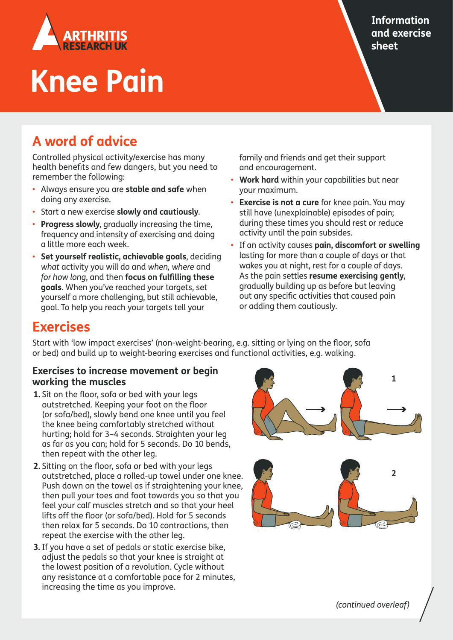

# **Knee Pain**

## **Information and exercise sheet**

# **A word of advice**

Controlled physical activity/exercise has many health benefits and few dangers, but you need to remember the following:

- Always ensure you are **stable and safe** when doing any exercise.
- Start a new exercise **slowly and cautiously**.
- **Progress slowly**, gradually increasing the time, frequency and intensity of exercising and doing a little more each week.
- **Set yourself realistic, achievable goals**, deciding *what* activity you will do and *when, where* and *for how long*, and then **focus on fulfilling these goals**. When you've reached your targets, set yourself a more challenging, but still achievable, goal. To help you reach your targets tell your

family and friends and get their support and encouragement.

- **Work hard** within your capabilities but near your maximum.
- **Exercise is not a cure** for knee pain. You may still have (unexplainable) episodes of pain; during these times you should rest or reduce activity until the pain subsides.
- If an activity causes pain, discomfort or swelling lasting for more than a couple of days or that wakes you at night, rest for a couple of days. As the pain settles **resume exercising gently**, gradually building up as before but leaving out any specific activities that caused pain or adding them cautiously.

# **Exercises**

Start with 'low impact exercises' (non-weight-bearing, e.g. sitting or lying on the floor, sofa or bed) and build up to weight-bearing exercises and functional activities, e.g. walking.

#### **Exercises to increase movement or begin working the muscles**

- **1.** Sit on the floor, sofa or bed with your legs outstretched. Keeping your foot on the floor (or sofa/bed), slowly bend one knee until you feel the knee being comfortably stretched without hurting; hold for 3–4 seconds. Straighten your leg as far as you can; hold for 5 seconds. Do 10 bends, then repeat with the other leg.
- **2.** Sitting on the floor, sofa or bed with your legs outstretched, place a rolled-up towel under one knee. Push down on the towel as if straightening your knee, then pull your toes and foot towards you so that you feel your calf muscles stretch and so that your heel lifts off the floor (or sofa/bed). Hold for 5 seconds then relax for 5 seconds. Do 10 contractions, then repeat the exercise with the other leg.
- **3.** If you have a set of pedals or static exercise bike, adjust the pedals so that your knee is straight at the lowest position of a revolution. Cycle without any resistance at a comfortable pace for 2 minutes, increasing the time as you improve.



*(continued overleaf)*